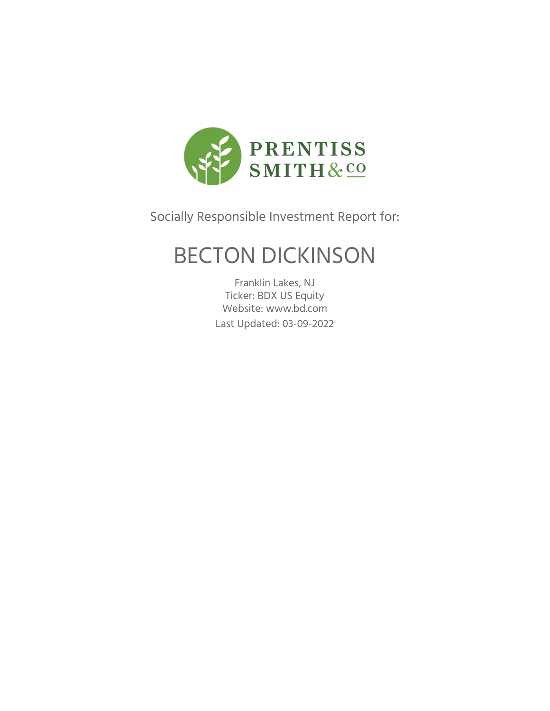

Socially Responsible Investment Report for:

## BECTON DICKINSON

Franklin Lakes, NJ Ticker: BDX US Equity Website: www.bd.com Last Updated: 03-09-2022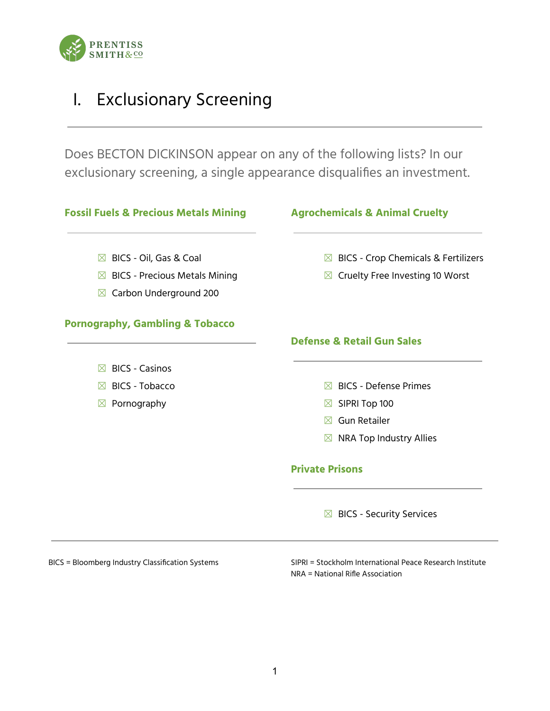

## I. Exclusionary Screening

Does BECTON DICKINSON appear on any of the following lists? In our exclusionary screening, a single appearance disqualifies an investment.



BICS = Bloomberg Industry Classification Systems SIPRI = Stockholm International Peace Research Institute NRA = National Rifle Association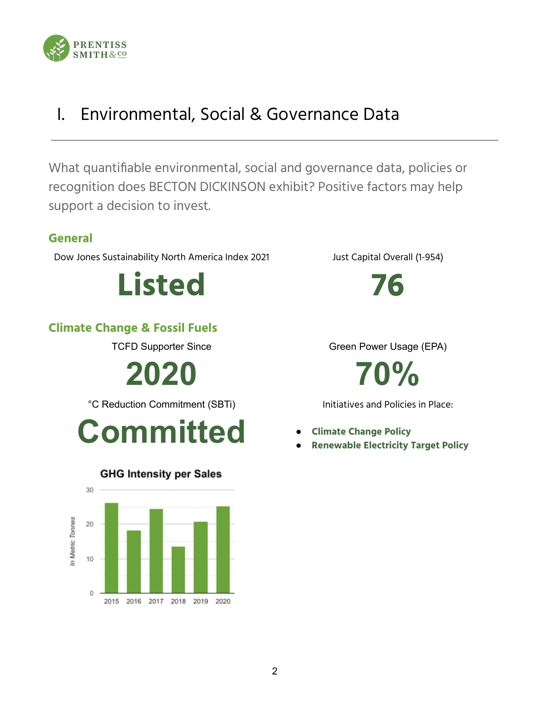

## I. Environmental, Social & Governance Data

What quantifiable environmental, social and governance data, policies or recognition does BECTON DICKINSON exhibit? Positive factors may help support a decision to invest.

### **General**

Dow Jones Sustainability North America Index 2021 Just Capital Overall (1-954)

**Listed 76**

### **Climate Change & Fossil Fuels**

**2020 70%**

°C Reduction Commitment (SBTi) Initiatives and Policies in Place:





### **GHG Intensity per Sales**

TCFD Supporter Since Green Power Usage (EPA)

- 
- **Renewable Electricity Target Policy**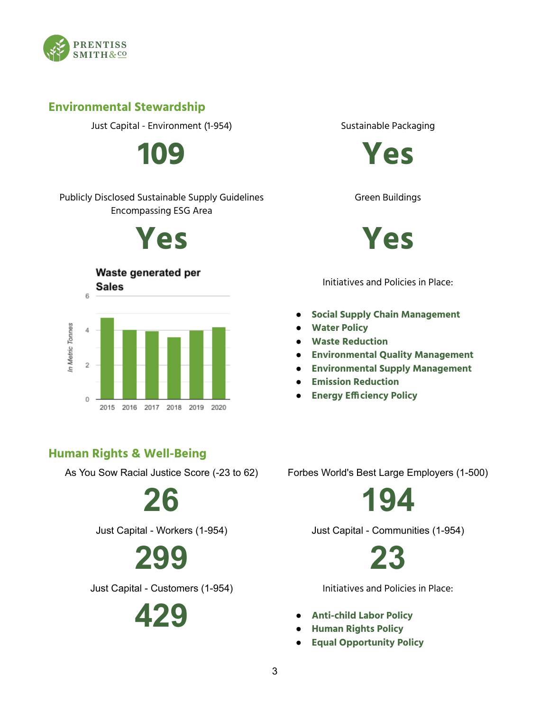

### **Environmental Stewardship**

Just Capital - Environment (1-954) Sustainable Packaging

#### Publicly Disclosed Sustainable Supply Guidelines Encompassing ESG Area



### Waste generated per



### **Human Rights & Well-Being**

# **299 23**

Just Capital - Customers (1-954) Initiatives and Policies in Place:





Green Buildings



Initiatives and Policies in Place:

- **Social Supply Chain Management**
- **Water Policy**
- **Waste Reduction**
- **Environmental Quality Management**
- **Environmental Supply Management**
- **Emission Reduction**
- **Energy Efficiency Policy**

As You Sow Racial Justice Score (-23 to 62) Forbes World's Best Large Employers (1-500)

**26 194**

Just Capital - Workers (1-954) Just Capital - Communities (1-954)

- **429 Anti-child Labor Policy**
	- **Human Rights Policy**
	- **Equal Opportunity Policy**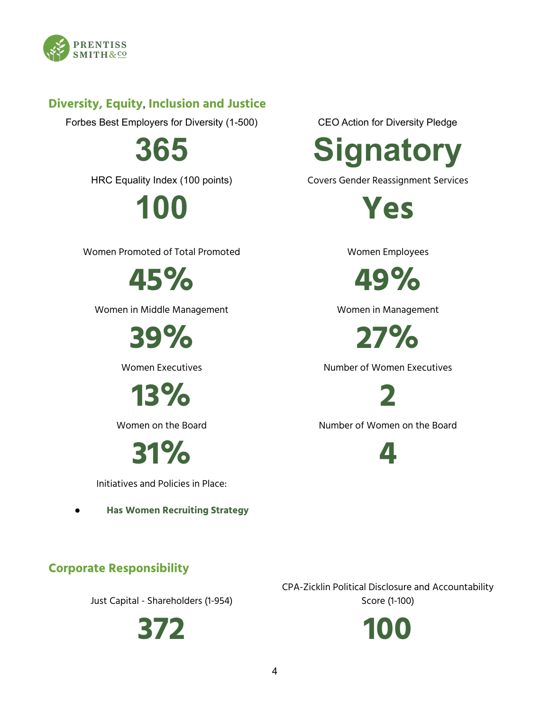

### **Diversity, Equity, Inclusion and Justice**

Forbes Best Employers for Diversity (1-500) CEO Action for Diversity Pledge

Women Promoted of Total Promoted Women Employees

Women in Middle Management Women in Management

**13% 2**

**31% 4**

Initiatives and Policies in Place:

● **Has Women Recruiting Strategy**



HRC Equality Index (100 points) Covers Gender Reassignment Services

**100 Yes**

**45% 49%**

**39% 27%**

Women Executives **Number of Women Executives** 

Women on the Board Number of Women on the Board

### **Corporate Responsibility**

Just Capital - Shareholders (1-954)

CPA-Zicklin Political Disclosure and Accountability Score (1-100)

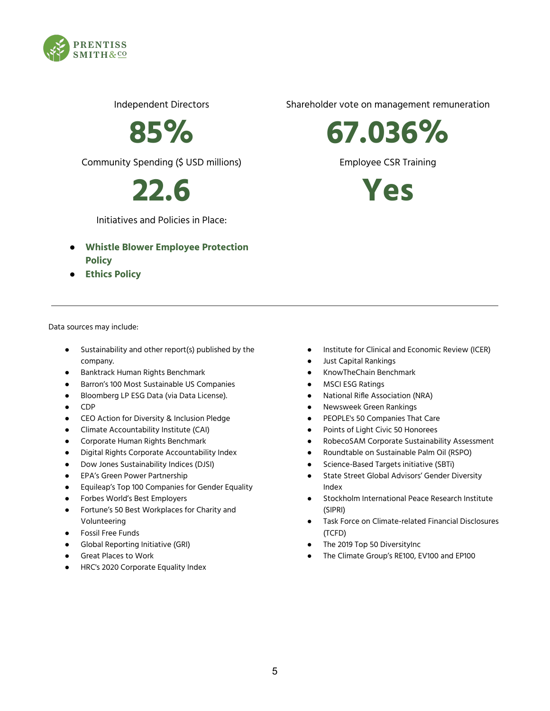

Community Spending (\$ USD millions) Employee CSR Training

Initiatives and Policies in Place:

- **Whistle Blower Employee Protection Policy**
- **Ethics Policy**

Data sources may include:

- Sustainability and other report(s) published by the company.
- Banktrack Human Rights Benchmark
- Barron's 100 Most Sustainable US Companies
- Bloomberg LP ESG Data (via Data License).
- CDP
- CEO Action for Diversity & Inclusion Pledge
- Climate Accountability Institute (CAI)
- Corporate Human Rights Benchmark
- **Digital Rights Corporate Accountability Index**
- Dow Jones Sustainability Indices (DJSI)
- **EPA's Green Power Partnership**
- Equileap's Top 100 Companies for Gender Equality
- Forbes World's Best Employers
- Fortune's 50 Best Workplaces for Charity and Volunteering
- Fossil Free Funds
- **Global Reporting Initiative (GRI)**
- Great Places to Work
- HRC's 2020 Corporate Equality Index

Independent Directors Shareholder vote on management remuneration

**85% 67.036%**

**22.6 Yes**

- Institute for Clinical and Economic Review (ICER)
- Just Capital Rankings
- KnowTheChain Benchmark
- MSCI ESG Ratings
- National Rifle Association (NRA)
- Newsweek Green Rankings
- PEOPLE's 50 Companies That Care
- Points of Light Civic 50 Honorees
- RobecoSAM Corporate Sustainability Assessment
- Roundtable on Sustainable Palm Oil (RSPO)
- Science-Based Targets initiative (SBTi)
- State Street Global Advisors' Gender Diversity Index
- Stockholm International Peace Research Institute (SIPRI)
- Task Force on Climate-related Financial Disclosures (TCFD)
- The 2019 Top 50 DiversityInc
- The Climate Group's RE100, EV100 and EP100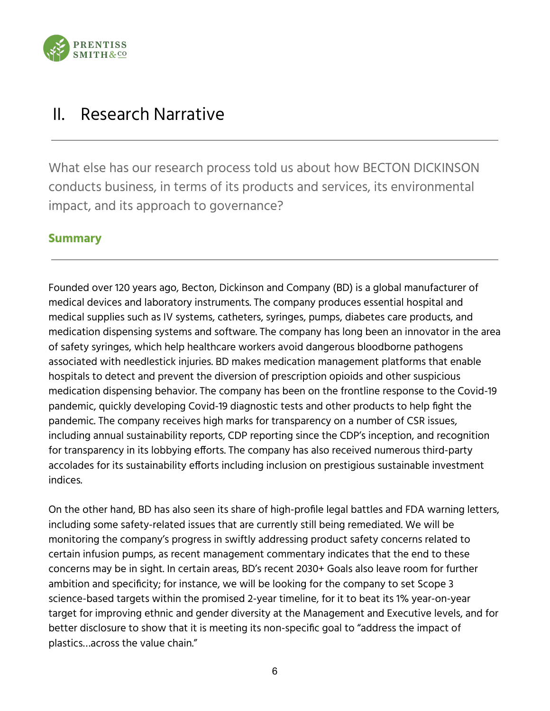

## II. Research Narrative

What else has our research process told us about how BECTON DICKINSON conducts business, in terms of its products and services, its environmental impact, and its approach to governance?

### **Summary**

Founded over 120 years ago, Becton, Dickinson and Company (BD) is a global manufacturer of medical devices and laboratory instruments. The company produces essential hospital and medical supplies such as IV systems, catheters, syringes, pumps, diabetes care products, and medication dispensing systems and software. The company has long been an innovator in the area of safety syringes, which help healthcare workers avoid dangerous bloodborne pathogens associated with needlestick injuries. BD makes medication management platforms that enable hospitals to detect and prevent the diversion of prescription opioids and other suspicious medication dispensing behavior. The company has been on the frontline response to the Covid-19 pandemic, quickly developing Covid-19 diagnostic tests and other products to help fight the pandemic. The company receives high marks for transparency on a number of CSR issues, including annual sustainability reports, CDP reporting since the CDP's inception, and recognition for transparency in its lobbying efforts. The company has also received numerous third-party accolades for its sustainability efforts including inclusion on prestigious sustainable investment indices.

On the other hand, BD has also seen its share of high-profile legal battles and FDA warning letters, including some safety-related issues that are currently still being remediated. We will be monitoring the company's progress in swiftly addressing product safety concerns related to certain infusion pumps, as recent management commentary indicates that the end to these concerns may be in sight. In certain areas, BD's recent 2030+ Goals also leave room for further ambition and specificity; for instance, we will be looking for the company to set Scope 3 science-based targets within the promised 2-year timeline, for it to beat its 1% year-on-year target for improving ethnic and gender diversity at the Management and Executive levels, and for better disclosure to show that it is meeting its non-specific goal to "address the impact of plastics…across the value chain."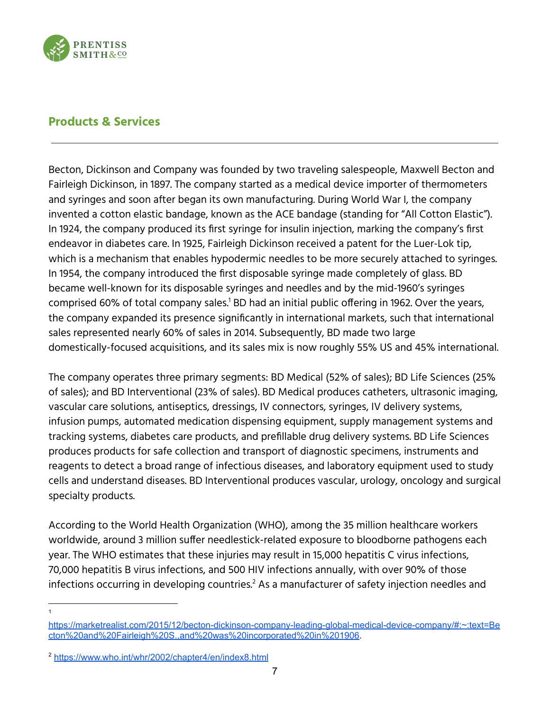

### **Products & Services**

Becton, Dickinson and Company was founded by two traveling salespeople, Maxwell Becton and Fairleigh Dickinson, in 1897. The company started as a medical device importer of thermometers and syringes and soon after began its own manufacturing. During World War I, the company invented a cotton elastic bandage, known as the ACE bandage (standing for "All Cotton Elastic"). In 1924, the company produced its first syringe for insulin injection, marking the company's first endeavor in diabetes care. In 1925, Fairleigh Dickinson received a patent for the Luer-Lok tip, which is a mechanism that enables hypodermic needles to be more securely attached to syringes. In 1954, the company introduced the first disposable syringe made completely of glass. BD became well-known for its disposable syringes and needles and by the mid-1960's syringes comprised 60% of total company sales. $^{\rm 1}$  BD had an initial public offering in 1962. Over the years, the company expanded its presence significantly in international markets, such that international sales represented nearly 60% of sales in 2014. Subsequently, BD made two large domestically-focused acquisitions, and its sales mix is now roughly 55% US and 45% international.

The company operates three primary segments: BD Medical (52% of sales); BD Life Sciences (25% of sales); and BD Interventional (23% of sales). BD Medical produces catheters, ultrasonic imaging, vascular care solutions, antiseptics, dressings, IV connectors, syringes, IV delivery systems, infusion pumps, automated medication dispensing equipment, supply management systems and tracking systems, diabetes care products, and prefillable drug delivery systems. BD Life Sciences produces products for safe collection and transport of diagnostic specimens, instruments and reagents to detect a broad range of infectious diseases, and laboratory equipment used to study cells and understand diseases. BD Interventional produces vascular, urology, oncology and surgical specialty products.

According to the World Health Organization (WHO), among the 35 million healthcare workers worldwide, around 3 million suffer needlestick-related exposure to bloodborne pathogens each year. The WHO estimates that these injuries may result in 15,000 hepatitis C virus infections, 70,000 hepatitis B virus infections, and 500 HIV infections annually, with over 90% of those infections occurring in developing countries. $^2$  As a manufacturer of safety injection needles and

1

[https://marketrealist.com/2015/12/becton-dickinson-company-leading-global-medical-device-company/#:~:text=Be](https://marketrealist.com/2015/12/becton-dickinson-company-leading-global-medical-device-company/#:~:text=Becton%20and%20Fairleigh%20S.,and%20was%20incorporated%20in%201906) [cton%20and%20Fairleigh%20S.,and%20was%20incorporated%20in%201906](https://marketrealist.com/2015/12/becton-dickinson-company-leading-global-medical-device-company/#:~:text=Becton%20and%20Fairleigh%20S.,and%20was%20incorporated%20in%201906).

<sup>2</sup> <https://www.who.int/whr/2002/chapter4/en/index8.html>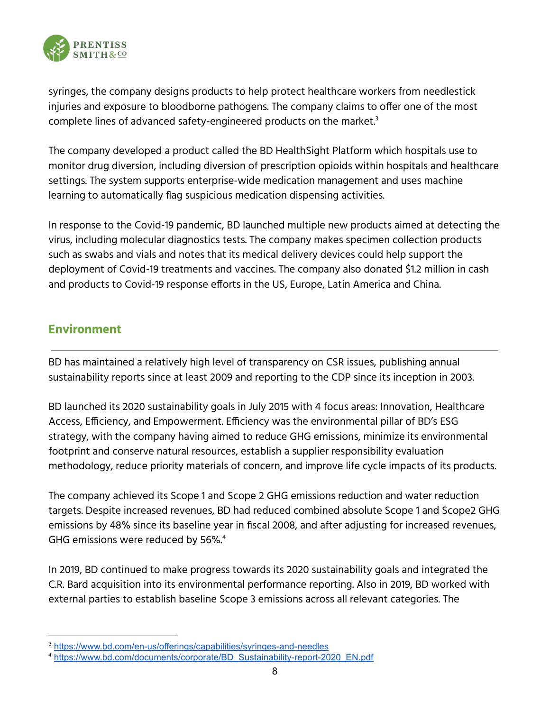

syringes, the company designs products to help protect healthcare workers from needlestick injuries and exposure to bloodborne pathogens. The company claims to offer one of the most complete lines of advanced safety-engineered products on the market. 3

The company developed a product called the BD HealthSight Platform which hospitals use to monitor drug diversion, including diversion of prescription opioids within hospitals and healthcare settings. The system supports enterprise-wide medication management and uses machine learning to automatically flag suspicious medication dispensing activities.

In response to the Covid-19 pandemic, BD launched multiple new products aimed at detecting the virus, including molecular diagnostics tests. The company makes specimen collection products such as swabs and vials and notes that its medical delivery devices could help support the deployment of Covid-19 treatments and vaccines. The company also donated \$1.2 million in cash and products to Covid-19 response efforts in the US, Europe, Latin America and China.

### **Environment**

BD has maintained a relatively high level of transparency on CSR issues, publishing annual sustainability reports since at least 2009 and reporting to the CDP since its inception in 2003.

BD launched its 2020 sustainability goals in July 2015 with 4 focus areas: Innovation, Healthcare Access, Efficiency, and Empowerment. Efficiency was the environmental pillar of BD's ESG strategy, with the company having aimed to reduce GHG emissions, minimize its environmental footprint and conserve natural resources, establish a supplier responsibility evaluation methodology, reduce priority materials of concern, and improve life cycle impacts of its products.

The company achieved its Scope 1 and Scope 2 GHG emissions reduction and water reduction targets. Despite increased revenues, BD had reduced combined absolute Scope 1 and Scope2 GHG emissions by 48% since its baseline year in fiscal 2008, and after adjusting for increased revenues, GHG emissions were reduced by 56%. 4

In 2019, BD continued to make progress towards its 2020 sustainability goals and integrated the C.R. Bard acquisition into its environmental performance reporting. Also in 2019, BD worked with external parties to establish baseline Scope 3 emissions across all relevant categories. The

<sup>3</sup> <https://www.bd.com/en-us/offerings/capabilities/syringes-and-needles>

<sup>4</sup> [https://www.bd.com/documents/corporate/BD\\_Sustainability-report-2020\\_EN.pdf](https://www.bd.com/documents/corporate/BD_Sustainability-report-2020_EN.pdf)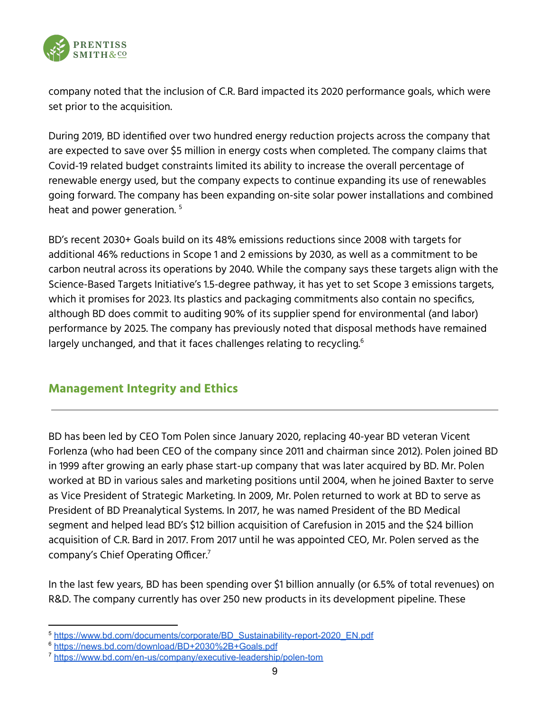

company noted that the inclusion of C.R. Bard impacted its 2020 performance goals, which were set prior to the acquisition.

During 2019, BD identified over two hundred energy reduction projects across the company that are expected to save over \$5 million in energy costs when completed. The company claims that Covid-19 related budget constraints limited its ability to increase the overall percentage of renewable energy used, but the company expects to continue expanding its use of renewables going forward. The company has been expanding on-site solar power installations and combined heat and power generation. 5

BD's recent 2030+ Goals build on its 48% emissions reductions since 2008 with targets for additional 46% reductions in Scope 1 and 2 emissions by 2030, as well as a commitment to be carbon neutral across its operations by 2040. While the company says these targets align with the Science-Based Targets Initiative's 1.5-degree pathway, it has yet to set Scope 3 emissions targets, which it promises for 2023. Its plastics and packaging commitments also contain no specifics, although BD does commit to auditing 90% of its supplier spend for environmental (and labor) performance by 2025. The company has previously noted that disposal methods have remained largely unchanged, and that it faces challenges relating to recycling. $^{\rm 6}$ 

### **Management Integrity and Ethics**

BD has been led by CEO Tom Polen since January 2020, replacing 40-year BD veteran Vicent Forlenza (who had been CEO of the company since 2011 and chairman since 2012). Polen joined BD in 1999 after growing an early phase start-up company that was later acquired by BD. Mr. Polen worked at BD in various sales and marketing positions until 2004, when he joined Baxter to serve as Vice President of Strategic Marketing. In 2009, Mr. Polen returned to work at BD to serve as President of BD Preanalytical Systems. In 2017, he was named President of the BD Medical segment and helped lead BD's \$12 billion acquisition of Carefusion in 2015 and the \$24 billion acquisition of C.R. Bard in 2017. From 2017 until he was appointed CEO, Mr. Polen served as the company's Chief Operating Officer. 7

In the last few years, BD has been spending over \$1 billion annually (or 6.5% of total revenues) on R&D. The company currently has over 250 new products in its development pipeline. These

<sup>5</sup> [https://www.bd.com/documents/corporate/BD\\_Sustainability-report-2020\\_EN.pdf](https://www.bd.com/documents/corporate/BD_Sustainability-report-2020_EN.pdf)

<sup>6</sup> <https://news.bd.com/download/BD+2030%2B+Goals.pdf>

<sup>7</sup> <https://www.bd.com/en-us/company/executive-leadership/polen-tom>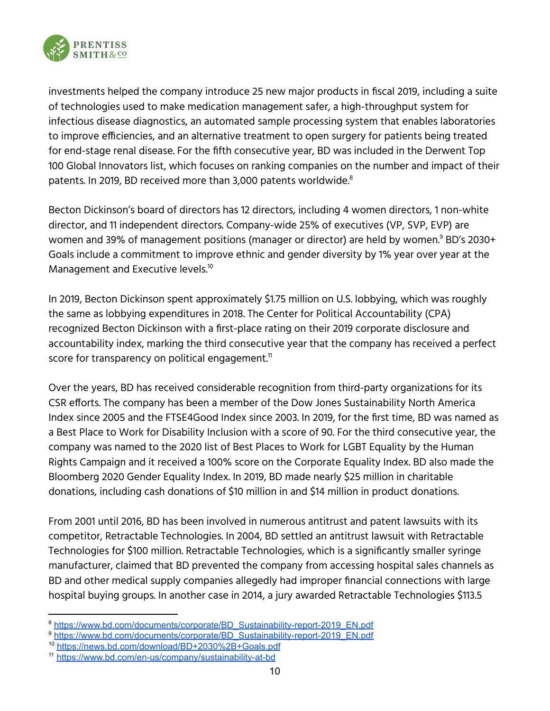

investments helped the company introduce 25 new major products in fiscal 2019, including a suite of technologies used to make medication management safer, a high-throughput system for infectious disease diagnostics, an automated sample processing system that enables laboratories to improve efficiencies, and an alternative treatment to open surgery for patients being treated for end-stage renal disease. For the fifth consecutive year, BD was included in the Derwent Top 100 Global Innovators list, which focuses on ranking companies on the number and impact of their patents. In 2019, BD received more than 3,000 patents worldwide. 8

Becton Dickinson's board of directors has 12 directors, including 4 women directors, 1 non-white director, and 11 independent directors. Company-wide 25% of executives (VP, SVP, EVP) are women and 39% of management positions (manager or director) are held by women.<sup>9</sup> BD's 2030+ Goals include a commitment to improve ethnic and gender diversity by 1% year over year at the Management and Executive levels. 10

In 2019, Becton Dickinson spent approximately \$1.75 million on U.S. lobbying, which was roughly the same as lobbying expenditures in 2018. The Center for Political Accountability (CPA) recognized Becton Dickinson with a first-place rating on their 2019 corporate disclosure and accountability index, marking the third consecutive year that the company has received a perfect score for transparency on political engagement. $^{\text{\tiny{11}}}$ 

Over the years, BD has received considerable recognition from third-party organizations for its CSR efforts. The company has been a member of the Dow Jones Sustainability North America Index since 2005 and the FTSE4Good Index since 2003. In 2019, for the first time, BD was named as a Best Place to Work for Disability Inclusion with a score of 90. For the third consecutive year, the company was named to the 2020 list of Best Places to Work for LGBT Equality by the Human Rights Campaign and it received a 100% score on the Corporate Equality Index. BD also made the Bloomberg 2020 Gender Equality Index. In 2019, BD made nearly \$25 million in charitable donations, including cash donations of \$10 million in and \$14 million in product donations.

From 2001 until 2016, BD has been involved in numerous antitrust and patent lawsuits with its competitor, Retractable Technologies. In 2004, BD settled an antitrust lawsuit with Retractable Technologies for \$100 million. Retractable Technologies, which is a significantly smaller syringe manufacturer, claimed that BD prevented the company from accessing hospital sales channels as BD and other medical supply companies allegedly had improper financial connections with large hospital buying groups. In another case in 2014, a jury awarded Retractable Technologies \$113.5

<sup>&</sup>lt;sup>8</sup> [https://www.bd.com/documents/corporate/BD\\_Sustainability-report-2019\\_EN.pdf](https://www.bd.com/documents/corporate/BD_Sustainability-report-2019_EN.pdf)

<sup>9</sup> [https://www.bd.com/documents/corporate/BD\\_Sustainability-report-2019\\_EN.pdf](https://www.bd.com/documents/corporate/BD_Sustainability-report-2019_EN.pdf)

<sup>10</sup> <https://news.bd.com/download/BD+2030%2B+Goals.pdf>

<sup>11</sup> <https://www.bd.com/en-us/company/sustainability-at-bd>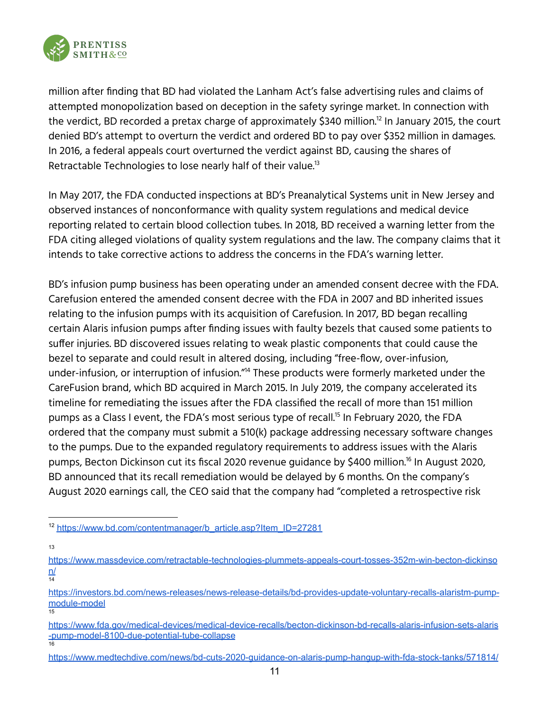

million after finding that BD had violated the Lanham Act's false advertising rules and claims of attempted monopolization based on deception in the safety syringe market. In connection with the verdict, BD recorded a pretax charge of approximately \$340 million. $^{\rm 12}$  In January 2015, the court denied BD's attempt to overturn the verdict and ordered BD to pay over \$352 million in damages. In 2016, a federal appeals court overturned the verdict against BD, causing the shares of Retractable Technologies to lose nearly half of their value. $^{\rm 13}$ 

In May 2017, the FDA conducted inspections at BD's Preanalytical Systems unit in New Jersey and observed instances of nonconformance with quality system regulations and medical device reporting related to certain blood collection tubes. In 2018, BD received a warning letter from the FDA citing alleged violations of quality system regulations and the law. The company claims that it intends to take corrective actions to address the concerns in the FDA's warning letter.

BD's infusion pump business has been operating under an amended consent decree with the FDA. Carefusion entered the amended consent decree with the FDA in 2007 and BD inherited issues relating to the infusion pumps with its acquisition of Carefusion. In 2017, BD began recalling certain Alaris infusion pumps after finding issues with faulty bezels that caused some patients to suffer injuries. BD discovered issues relating to weak plastic components that could cause the bezel to separate and could result in altered dosing, including "free-flow, over-infusion, under-infusion, or interruption of infusion."<sup>14</sup> These products were formerly marketed under the CareFusion brand, which BD acquired in March 2015. In July 2019, the company accelerated its timeline for remediating the issues after the FDA classified the recall of more than 151 million pumps as a Class I event, the FDA's most serious type of recall.<sup>15</sup> In February 2020, the FDA ordered that the company must submit a 510(k) package addressing necessary software changes to the pumps. Due to the expanded regulatory requirements to address issues with the Alaris pumps, Becton Dickinson cut its fiscal 2020 revenue guidance by \$400 million.<sup>16</sup> In August 2020, BD announced that its recall remediation would be delayed by 6 months. On the company's August 2020 earnings call, the CEO said that the company had "completed a retrospective risk

13

16 [https://www.fda.gov/medical-devices/medical-device-recalls/becton-dickinson-bd-recalls-alaris-infusion-sets-alaris](https://www.fda.gov/medical-devices/medical-device-recalls/becton-dickinson-bd-recalls-alaris-infusion-sets-alaris-pump-model-8100-due-potential-tube-collapse) [-pump-model-8100-due-potential-tube-collapse](https://www.fda.gov/medical-devices/medical-device-recalls/becton-dickinson-bd-recalls-alaris-infusion-sets-alaris-pump-model-8100-due-potential-tube-collapse)

<sup>12</sup> [https://www.bd.com/contentmanager/b\\_article.asp?Item\\_ID=27281](https://www.bd.com/contentmanager/b_article.asp?Item_ID=27281)

<sup>14</sup> [https://www.massdevice.com/retractable-technologies-plummets-appeals-court-tosses-352m-win-becton-dickinso](https://www.massdevice.com/retractable-technologies-plummets-appeals-court-tosses-352m-win-becton-dickinson/) [n/](https://www.massdevice.com/retractable-technologies-plummets-appeals-court-tosses-352m-win-becton-dickinson/)

<sup>15</sup> [https://investors.bd.com/news-releases/news-release-details/bd-provides-update-voluntary-recalls-alaristm-pump](https://investors.bd.com/news-releases/news-release-details/bd-provides-update-voluntary-recalls-alaristm-pump-module-model)[module-model](https://investors.bd.com/news-releases/news-release-details/bd-provides-update-voluntary-recalls-alaristm-pump-module-model)

<https://www.medtechdive.com/news/bd-cuts-2020-guidance-on-alaris-pump-hangup-with-fda-stock-tanks/571814/>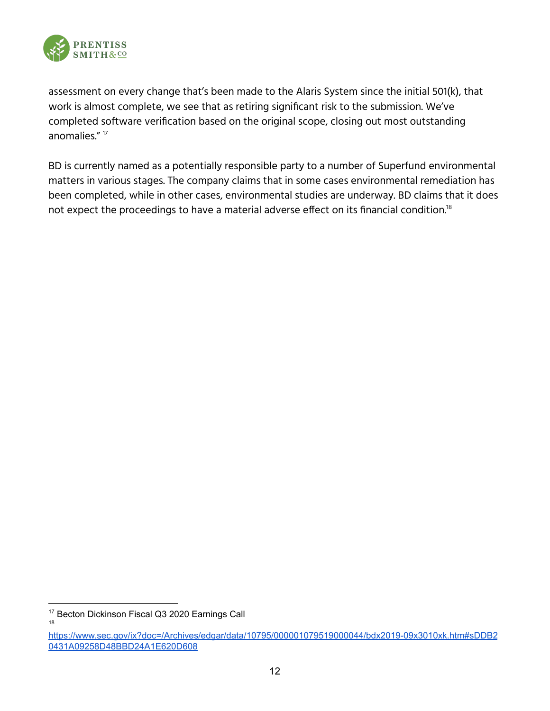

assessment on every change that's been made to the Alaris System since the initial 501(k), that work is almost complete, we see that as retiring significant risk to the submission. We've completed software verification based on the original scope, closing out most outstanding anomalies." 17

BD is currently named as a potentially responsible party to a number of Superfund environmental matters in various stages. The company claims that in some cases environmental remediation has been completed, while in other cases, environmental studies are underway. BD claims that it does not expect the proceedings to have a material adverse effect on its financial condition. $^{\rm 18}$ 

<sup>&</sup>lt;sup>17</sup> Becton Dickinson Fiscal Q3 2020 Earnings Call

<sup>18</sup>

[https://www.sec.gov/ix?doc=/Archives/edgar/data/10795/000001079519000044/bdx2019-09x3010xk.htm#sDDB2](https://www.sec.gov/ix?doc=/Archives/edgar/data/10795/000001079519000044/bdx2019-09x3010xk.htm#sDDB20431A09258D48BBD24A1E620D608) [0431A09258D48BBD24A1E620D608](https://www.sec.gov/ix?doc=/Archives/edgar/data/10795/000001079519000044/bdx2019-09x3010xk.htm#sDDB20431A09258D48BBD24A1E620D608)